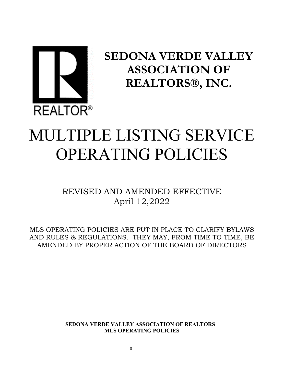

**SEDONA VERDE VALLEY ASSOCIATION OF REALTORS®, INC.**

# MULTIPLE LISTING SERVICE OPERATING POLICIES

REVISED AND AMENDED EFFECTIVE April 12,2022

MLS OPERATING POLICIES ARE PUT IN PLACE TO CLARIFY BYLAWS AND RULES & REGULATIONS. THEY MAY, FROM TIME TO TIME, BE AMENDED BY PROPER ACTION OF THE BOARD OF DIRECTORS

> **SEDONA VERDE VALLEY ASSOCIATION OF REALTORS MLS OPERATING POLICIES**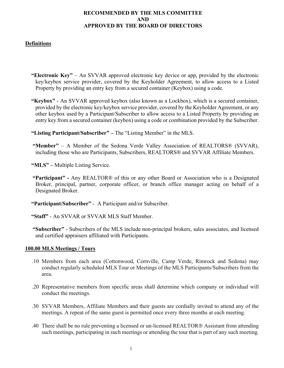## **RECOMMENDED BY THE MLS COMMITTEE AND APPROVED BY THE BOARD OF DIRECTORS**

# **Definitions**

- **"Electronic Key"** An SVVAR approved electronic key device or app, provided by the electronic key/keybox service provider, covered by the Keyholder Agreement, to allow access to a Listed Property by providing an entry key from a secured container (Keybox) using a code.
- **"Keybox"** An SVVAR approved keybox (also known as a Lockbox), which is a secured container, provided by the electronic key/keybox service provider, covered by the Keyholder Agreement, or any other keybox used by a Participant/Subscriber to allow access to a Listed Property by providing an entry key from a secured container (keybox) using a code or combination provided by the Subscriber.
- **"Listing Participant/Subscriber"** The "Listing Member" in the MLS.
- **"Member"**  A Member of the Sedona Verde Valley Association of REALTORS® (SVVAR), including those who are Participants, Subscribers, REALTORS® and SVVAR Affiliate Members.
- **"MLS"** Multiple Listing Service.
- **"Participant"** Any REALTOR® of this or any other Board or Association who is a Designated Broker, principal, partner, corporate officer, or branch office manager acting on behalf of a Designated Broker.
- **"Participant/Subscriber"**  A Participant and/or Subscriber.
- **"Staff"** An SVVAR or SVVAR MLS Staff Member.
- **"Subscriber"** Subscribers of the MLS include non-principal brokers, sales associates, and licensed and certified appraisers affiliated with Participants.

## **100.00 MLS Meetings / Tours**

- .10 Members from each area (Cottonwood, Cornville, Camp Verde, Rimrock and Sedona) may conduct regularly scheduled MLS Tour or Meetings of the MLS Participants/Subscribers from the area.
- .20 Representative members from specific areas shall determine which company or individual will conduct the meetings.
- .30 SVVAR Members, Affiliate Members and their guests are cordially invited to attend any of the meetings. A repeat of the same guest is permitted once every three months at each meeting.
- .40 There shall be no rule preventing a licensed or un-licensed REALTOR Assistant from attending such meetings, participating in such meetings or attending the tour that is part of any such meeting.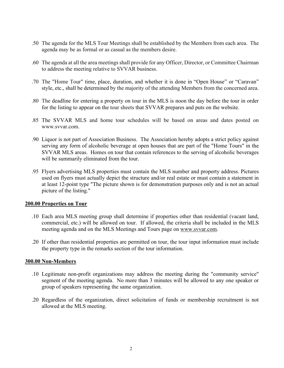- .50 The agenda for the MLS Tour Meetings shall be established by the Members from each area. The agenda may be as formal or as casual as the members desire.
- .60 The agenda at all the area meetings shall provide for any Officer, Director, or Committee Chairman to address the meeting relative to SVVAR business.
- .70 The "Home Tour" time, place, duration, and whether it is done in "Open House" or "Caravan" style, etc., shall be determined by the majority of the attending Members from the concerned area.
- .80 The deadline for entering a property on tour in the MLS is noon the day before the tour in order for the listing to appear on the [tour sheets](http://svvar.com/association-meetings-and-mls-tours_325.html) that SVVAR prepares and puts on the website.
- .85 The SVVAR MLS and home tour schedules will be based on areas and dates posted on [www.svvar.com.](http://www.svvar.com/)
- .90 Liquor is not part of Association Business. The Association hereby adopts a strict policy against serving any form of alcoholic beverage at open houses that are part of the "Home Tours" in the SVVAR MLS areas. Homes on tour that contain references to the serving of alcoholic beverages will be summarily eliminated from the tour.
- .95 Flyers advertising MLS properties must contain the MLS number and property address. Pictures used on flyers must actually depict the structure and/or real estate or must contain a statement in at least 12-point type "The picture shown is for demonstration purposes only and is not an actual picture of the listing."

## **200.00 Properties on Tour**

- .10 Each area MLS meeting group shall determine if properties other than residential (vacant land, commercial, etc.) will be allowed on tour. If allowed, the criteria shall be included in the MLS meeting agenda and on the MLS Meetings and Tours page on [www.svvar.com.](http://www.svvar.com/)
- .20 If other than residential properties are permitted on tour, the tour input information must include the property type in the remarks section of the tour information.

## **300.00 Non-Members**

- .10 Legitimate non-profit organizations may address the meeting during the "community service" segment of the meeting agenda. No more than 3 minutes will be allowed to any one speaker or group of speakers representing the same organization.
- .20 Regardless of the organization, direct solicitation of funds or membership recruitment is not allowed at the MLS meeting.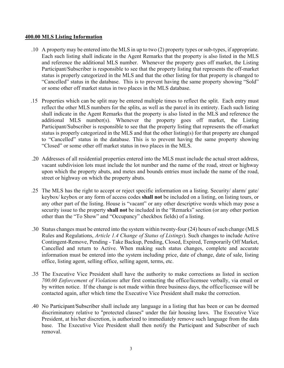## **400.00 MLS Listing Information**

- .10 A property may be entered into the MLS in up to two (2) property types or sub-types, if appropriate. Each such listing shall indicate in the Agent Remarks that the property is also listed in the MLS and reference the additional MLS number. Whenever the property goes off market, the Listing Participant/Subscriber is responsible to see that the property listing that represents the off-market status is properly categorized in the MLS and that the other listing for that property is changed to "Cancelled" status in the database. This is to prevent having the same property showing "Sold" or some other off market status in two places in the MLS database.
- .15 Properties which can be split may be entered multiple times to reflect the split. Each entry must reflect the other MLS numbers for the splits, as well as the parcel in its entirety. Each such listing shall indicate in the Agent Remarks that the property is also listed in the MLS and reference the additional MLS number(s). Whenever the property goes off market, the Listing Participant/Subscriber is responsible to see that the property listing that represents the off-market status is properly categorized in the MLS and that the other listing(s) for that property are changed to "Cancelled" status in the database. This is to prevent having the same property showing "Closed" or some other off market status in two places in the MLS.
- .20 Addresses of all residential properties entered into the MLS must include the actual street address, vacant subdivision lots must include the lot number and the name of the road, street or highway upon which the property abuts, and metes and bounds entries must include the name of the road, street or highway on which the property abuts.
- .25 The MLS has the right to accept or reject specific information on a listing. Security/ alarm/ gate/ keybox/ keybox or any form of access codes **shall not** be included on a listing, on listing tours, or any other part of the listing. House is "vacant" or any other descriptive words which may pose a security issue to the property **shall not** be included in the "Remarks" section (or any other portion other than the "To Show" and "Occupancy" checkbox fields) of a listing.
- .30 Status changes must be entered into the system within twenty-four (24) hours of such change (MLS Rules and Regulations, *Article 1.4 Change of Status of Listings*). Such changes to include Active Contingent-Remove, Pending - Take Backup, Pending, Closed, Expired, Temporarily Off Market, Cancelled and return to Active. When making such status changes, complete and accurate information must be entered into the system including price, date of change, date of sale, listing office, listing agent, selling office, selling agent, terms, etc.
- .35 The Executive Vice President shall have the authority to make corrections as listed in section *700.00 Enforcement of Violations* after first contacting the office/licensee verbally, via email or by written notice. If the change is not made within three business days, the office/licensee will be contacted again, after which time the Executive Vice President shall make the correction.
- .40 No Participant/Subscriber shall include any language in a listing that has been or can be deemed discriminatory relative to "protected classes" under the fair housing laws. The Executive Vice President, at his/her discretion, is authorized to immediately remove such language from the data base. The Executive Vice President shall then notify the Participant and Subscriber of such removal.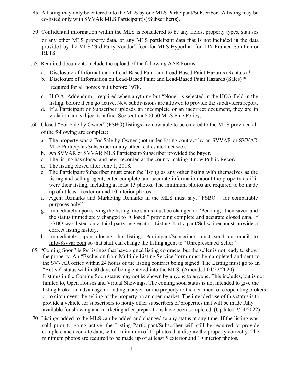- .45 A listing may only be entered into the MLS by one MLS Participant/Subscriber. A listing may be co-listed only with SVVAR MLS Participant(s)/Subscriber(s).
- .50 Confidential information within the MLS is considered to be any fields, property types, statuses or any other MLS property data, or any MLS participant data that is not included in the data provided by the MLS "3rd Party Vendor" feed for MLS Hyperlink for IDX Framed Solution or RETS.
- .55 Required documents include the upload of the following AAR Forms:
	- a. Disclosure of Information on Lead-Based Paint and Lead-Based Paint Hazards (Rentals) \*
	- b. Disclosure of Information on Lead-Based Paint and Lead-Based Paint Hazards (Sales) \* required for all homes built before 1978.
	- c. H.O.A. Addendum required when anything but "None" is selected in the HOA field in the listing, before it can go active. New subdivisions are allowed to provide the subdividers report.
	- d. If a Participant or Subscriber uploads an incomplete or an incorrect document, they are in violation and subject to a fine. See section 800.50 MLS Fine Policy.
- .60 Closed "For Sale by Owner" (FSBO) listings are now able to be entered to the MLS provided all of the following are complete:
	- a. The property was a For Sale by Owner (not under listing contract by an SVVAR or SVVAR MLS Participant/Subscriber or any other real estate licensee).
	- b. An SVVAR or SVVAR MLS Participant/Subscriber provided the buyer.
	- c. The listing has closed and been recorded at the county making it now Public Record.
	- d. The listing closed after June 1, 2018.
	- e. The Participant/Subscriber must enter the listing as any other listing with themselves as the listing and selling agent, enter complete and accurate information about the property as if it were their listing, including at least 15 photos. The minimum photos are required to be made up of at least 5 exterior and 10 interior photos.
	- f. Agent Remarks and Marketing Remarks in the MLS must say, "FSBO for comparable purposes only"
	- g. Immediately upon saving the listing, the status must be changed to "Pending," then saved and the status immediately changed to "Closed," providing complete and accurate closed data. If FSBO was listed on a third-party aggregator, Listing Participant/Subscriber must provide a correct listing history.
	- h. Immediately upon closing the listing, Participant/Subscriber must send an email to info@svvar.com so that staff can change the listing agent to "Unrepresented Seller."
- .65 "Coming Soon" is for listings that have signed listing contracts, but the seller is not ready to show the property. An "Exclusion from Multiple Listing Service" form must be completed and sent to t[he SVVAR office w](mailto:info@svvar.com)ithin 24 hours of the listing contract being signed. The Listing must go to an "Active" status within 30 days of being entered into the MLS. (Amended 04/22/2020) Listings in the Coming Soon status may not be shown by anyone to anyone. This includes, but is not limited to, Open Houses and Virtual Showings. The coming soon status is not intended to give the listing broker an advantage in finding a buyer for the property to the detriment of cooperating brokers or to circumvent the selling of the property on an open market. The intended use of this status is to provide a vehicle for subscribers to notify other subscribers of properties that will be made fully available for showing and marketing after preparations have been completed. (Updated 2/24/2022)
- .70 Listings added to the MLS can be added and changed to any status at any time. If the listing was sold prior to going active, the Listing Participant/Subscriber will still be required to provide complete and accurate data, with a minimum of 15 photos that display the property correctly. The minimum photos are required to be made up of at least 5 exterior and 10 interior photos.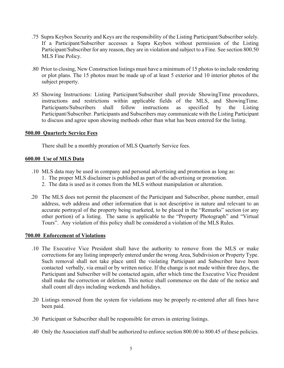- .75 Supra Keybox Security and Keys are the responsibility of the Listing Participant/Subscriber solely. If a Participant/Subscriber accesses a Supra Keybox without permission of the Listing Participant/Subscriber for any reason, they are in violation and subject to a Fine. See section 800.50 MLS Fine Policy.
- .80 Prior to closing, New Construction listings must have a minimum of 15 photos to include rendering or plot plans. The 15 photos must be made up of at least 5 exterior and 10 interior photos of the subject property.
- .85 Showing Instructions: Listing Participant/Subscriber shall provide ShowingTime procedures, instructions and restrictions within applicable fields of the MLS, and ShowingTime. Participants/Subscribers shall follow instructions as specified by the Listing Participant/Subscriber. Participants and Subscribers may communicate with the Listing Participant to discuss and agree upon showing methods other than what has been entered for the listing.

## **500.00 Quarterly Service Fees**

There shall be a monthly proration of MLS Quarterly Service fees.

### **600.00 Use of MLS Data**

- .10 MLS data may be used in company and personal advertising and promotion as long as:
	- 1. The proper MLS disclaimer is published as part of the advertising or promotion.
	- 2. The data is used as it comes from the MLS without manipulation or alteration.
- .20 The MLS does not permit the placement of the Participant and Subscriber, phone number, email address, web address and other information that is not descriptive in nature and relevant to an accurate portrayal of the property being marketed, to be placed in the "Remarks" section (or any other portion) of a listing. The same is applicable to the "Property Photograph" and "Virtual Tours". Any violation of this policy shall be considered a violation of the MLS Rules.

## **700.00 Enforcement of Violations**

- .10 The Executive Vice President shall have the authority to remove from the MLS or make corrections for any listing improperly entered under the wrong Area, Subdivision or Property Type. Such removal shall not take place until the violating Participant and Subscriber have been contacted verbally, via email or by written notice. If the change is not made within three days, the Participant and Subscriber will be contacted again, after which time the Executive Vice President shall make the correction or deletion. This notice shall commence on the date of the notice and shall count all days including weekends and holidays.
- .20 Listings removed from the system for violations may be properly re-entered after all fines have been paid.
- .30 Participant or Subscriber shall be responsible for errors in entering listings.
- .40 Only the Association staff shall be authorized to enforce section 800.00 to 800.45 of these policies.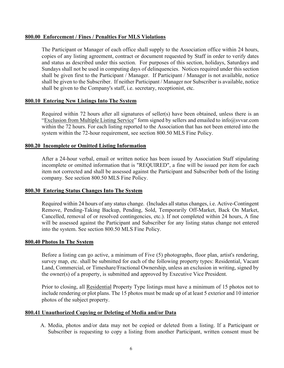## **800.00 Enforcement / Fines / Penalties For MLS Violations**

The Participant or Manager of each office shall supply to the Association office within 24 hours, copies of any listing agreement, contract or document requested by Staff in order to verify dates and status as described under this section. For purposes of this section, holidays, Saturdays and Sundays shall not be used in computing days of delinquencies. Notices required under this section shall be given first to the Participant / Manager. If Participant / Manager is not available, notice shall be given to the Subscriber. If neither Participant / Manager nor Subscriber is available, notice shall be given to the Company's staff, i.e. secretary, receptionist, etc.

### **800.10 Entering New Listings Into The System**

Required within 72 hours after all signatures of seller(s) have been obtained, unless there is an "Exclusion from Multiple Listing Service" form signed by sellers and emailed to info@svvar.com within the 72 hours. For each listing reported to the Association that has not been entered into the system within the 72-hour requirement, see section 800.50 MLS Fine Policy.

### **800.20 Incomplete or Omitted Listing Information**

After a 24-hour verbal, email or written notice has been issued by Association Staff stipulating incomplete or omitted information that is "REQUIRED", a fine will be issued per item for each item not corrected and shall be assessed against the Participant and Subscriber both of the listing company. See section 800.50 MLS Fine Policy.

## **800.30 Entering Status Changes Into The System**

Required within 24 hours of any status change. (Includes all status changes, i.e. Active-Contingent Remove, Pending-Taking Backup, Pending, Sold, Temporarily Off-Market, Back On Market, Cancelled, removal of or resolved contingencies, etc.). If not completed within 24 hours, A fine will be assessed against the Participant and Subscriber for any listing status change not entered into the system. See section 800.50 MLS Fine Policy.

#### **800.40 Photos In The System**

Before a listing can go active, a minimum of Five (5) photographs, floor plan, artist's rendering, survey map, etc. shall be submitted for each of the following property types: Residential, Vacant Land, Commercial, or Timeshare/Fractional Ownership, unless an exclusion in writing, signed by the owner(s) of a property, is submitted and approved by Executive Vice President.

Prior to closing, all Residential Property Type listings must have a minimum of 15 photos not to include rendering or plot plans. The 15 photos must be made up of at least 5 exterior and 10 interior photos of the subject property.

## **800.41 Unauthorized Copying or Deleting of Media and/or Data**

A. Media, photos and/or data may not be copied or deleted from a listing. If a Participant or Subscriber is requesting to copy a listing from another Participant, written consent must be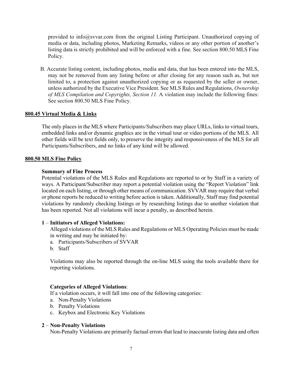provided to info@svvar.com from the original Listing Participant. Unauthorized copying of media or data, including photos, Marketing Remarks, videos or any other portion of another's listing data is strictly prohibited and will be enforced with a fine. See section 800.50 MLS Fine Policy.

B. Accurate listing content, including photos, media and data, that has been entered into the MLS, may not be removed from any listing before or after closing for any reason such as, but not limited to, a protection against unauthorized copying or as requested by the seller or owner, unless authorized by the Executive Vice President. See MLS Rules and Regulations, *Ownership of MLS Compilation and Copyrights, Section 11.* A violation may include the following fines: See section 800.50 MLS Fine Policy.

## **800.45 Virtual Media & Links**

The only places in the MLS where Participants/Subscribers may place URLs, links to virtual tours, embedded links and/or dynamic graphics are in the virtual tour or video portions of the MLS. All other fields will be text fields only, to preserve the integrity and responsiveness of the MLS for all Participants/Subscribers, and no links of any kind will be allowed.

## **800.50 MLS Fine Policy**

### **Summary of Fine Process**

Potential violations of the MLS Rules and Regulations are reported to or by Staff in a variety of ways. A Participant/Subscriber may report a potential violation using the "Report Violation" link located on each listing, or through other means of communication. SVVAR may require that verbal or phone reports be reduced to writing before action is taken. Additionally, Staff may find potential violations by randomly checking listings or by researching listings due to another violation that has been reported. Not all violations will incur a penalty, as described herein.

## **1** – **Initiators of Alleged Violations:**

Alleged violations of the MLS Rules and Regulations or MLS Operating Policies must be made in writing and may be initiated by:

- a. Participants/Subscribers of SVVAR
- b. Staff

Violations may also be reported through the on-line MLS using the tools available there for reporting violations.

#### **Categories of Alleged Violations**:

If a violation occurs, it will fall into one of the following categories:

- a. Non-Penalty Violations
- b. Penalty Violations
- c. Keybox and Electronic Key Violations

#### **2** – **Non-Penalty Violations**

Non-Penalty Violations are primarily factual errors that lead to inaccurate listing data and often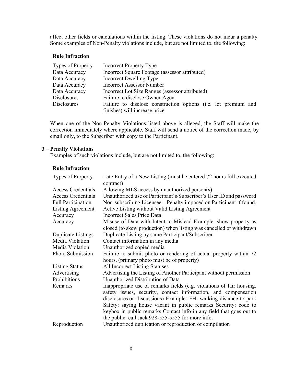affect other fields or calculations within the listing. These violations do not incur a penalty. Some examples of Non-Penalty violations include, but are not limited to, the following:

## **Rule Infraction**

| Types of Property  | <b>Incorrect Property Type</b>                                 |
|--------------------|----------------------------------------------------------------|
| Data Accuracy      | Incorrect Square Footage (assessor attributed)                 |
| Data Accuracy      | Incorrect Dwelling Type                                        |
| Data Accuracy      | <b>Incorrect Assessor Number</b>                               |
| Data Accuracy      | Incorrect Lot Size Ranges (assessor attributed)                |
| <b>Disclosures</b> | Failure to disclose Owner-Agent                                |
| <b>Disclosures</b> | Failure to disclose construction options (i.e. lot premium and |
|                    | finishes) will increase price                                  |

When one of the Non-Penalty Violations listed above is alleged, the Staff will make the correction immediately where applicable. Staff will send a notice of the correction made, by email only, to the Subscriber with copy to the Participant.

#### **3** – **Penalty Violations**

Examples of such violations include, but are not limited to, the following:

#### **Rule Infraction**

| Types of Property         | Late Entry of a New Listing (must be entered 72 hours full executed<br>contract)                                                                                                                                                                                                                                                                                                                            |
|---------------------------|-------------------------------------------------------------------------------------------------------------------------------------------------------------------------------------------------------------------------------------------------------------------------------------------------------------------------------------------------------------------------------------------------------------|
| <b>Access Credentials</b> | Allowing MLS access by unauthorized person(s)                                                                                                                                                                                                                                                                                                                                                               |
| <b>Access Credentials</b> | Unauthorized use of Participant's/Subscriber's User ID and password                                                                                                                                                                                                                                                                                                                                         |
| <b>Full Participation</b> | Non-subscribing Licensee – Penalty imposed on Participant if found.                                                                                                                                                                                                                                                                                                                                         |
| <b>Listing Agreement</b>  | Active Listing without Valid Listing Agreement                                                                                                                                                                                                                                                                                                                                                              |
| Accuracy                  | <b>Incorrect Sales Price Data</b>                                                                                                                                                                                                                                                                                                                                                                           |
| Accuracy                  | Misuse of Data with Intent to Mislead Example: show property as<br>closed (to skew production) when listing was cancelled or withdrawn                                                                                                                                                                                                                                                                      |
| <b>Duplicate Listings</b> | Duplicate Listing by same Participant/Subscriber                                                                                                                                                                                                                                                                                                                                                            |
| Media Violation           | Contact information in any media                                                                                                                                                                                                                                                                                                                                                                            |
| Media Violation           | Unauthorized copied media                                                                                                                                                                                                                                                                                                                                                                                   |
| Photo Submission          | Failure to submit photo or rendering of actual property within 72<br>hours. (primary photo must be of property)                                                                                                                                                                                                                                                                                             |
| <b>Listing Status</b>     | <b>All Incorrect Listing Statuses</b>                                                                                                                                                                                                                                                                                                                                                                       |
| Advertising               | Advertising the Listing of Another Participant without permission                                                                                                                                                                                                                                                                                                                                           |
| Prohibitions              | Unauthorized Distribution of Data                                                                                                                                                                                                                                                                                                                                                                           |
| Remarks                   | Inappropriate use of remarks fields (e.g. violations of fair housing,<br>safety issues, security, contact information, and compensation<br>disclosures or discussions) Example: FH: walking distance to park<br>Safety: saying house vacant in public remarks Security: code to<br>keybox in public remarks Contact info in any field that goes out to<br>the public: call Jack 928-555-5555 for more info. |
| Reproduction              | Unauthorized duplication or reproduction of compilation                                                                                                                                                                                                                                                                                                                                                     |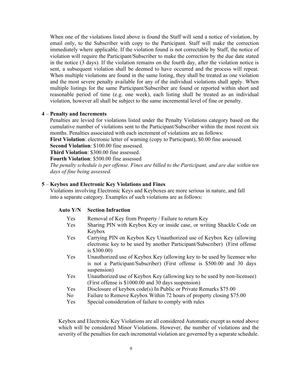When one of the violations listed above is found the Staff will send a notice of violation, by email only, to the Subscriber with copy to the Participant. Staff will make the correction immediately where applicable. If the violation found is not correctable by Staff, the notice of violation will require the Participant/Subscriber to make the correction by the due date stated in the notice (3 days). If the violation remains on the fourth day, after the violation notice is sent, a subsequent violation shall be deemed to have occurred and the process will repeat. When multiple violations are found in the same listing, they shall be treated as one violation and the most severe penalty available for any of the individual violations shall apply. When multiple listings for the same Participant/Subscriber are found or reported within short and reasonable period of time (e.g. one week), each listing shall be treated as an individual violation, however all shall be subject to the same incremental level of fine or penalty.

### **4** – **Penalty and Increments**

Penalties are levied for violations listed under the Penalty Violations category based on the cumulative number of violations sent to the Participant/Subscriber within the most recent six months. Penalties associated with each increment of violations are as follows:

**First Violation**: electronic letter of warning (copy to Participant), \$0.00 fine assessed.

**Second Violation**: \$100.00 fine assessed.

**Third Violation**: \$300.00 fine assessed.

**Fourth Violation**: \$500.00 fine assessed

*The penalty schedule is per offense. Fines are billed to the Participant, and are due within ten days of fine being assessed.* 

## **5** – **Keybox and Electronic Key Violations and Fines**

Violations involving Electronic Keys and Keyboxes are more serious in nature, and fall into a separate category. Examples of such violations are as follows:

#### **Auto Y/N Section Infraction**

- Yes Removal of Key from Property / Failure to return Key
- Yes Sharing PIN with Keybox Key or inside case, or writing Shackle Code on Keybox
- Yes Carrying PIN on Keybox Key Unauthorized use of Keybox Key (allowing electronic key to be used by another Participant/Subscriber) (First offense is \$300.00)
- Yes Unauthorized use of Keybox Key (allowing key to be used by licensee who is not a Participant/Subscriber) (First offense is \$500.00 and 30 days suspension)
- Yes Unauthorized use of Keybox Key (allowing key to be used by non-licensee) (First offense is \$1000.00 and 30 days suspension)
- Yes Disclosure of keybox code(s) In Public or Private Remarks \$75.00
- No Failure to Remove Keybox Within 72 hours of property closing \$75.00
- Yes Special consideration of failure to comply with rules

Keybox and Electronic Key Violations are all considered Automatic except as noted above which will be considered Minor Violations. However, the number of violations and the severity of the penalties for each incremental violation are governed by a separate schedule.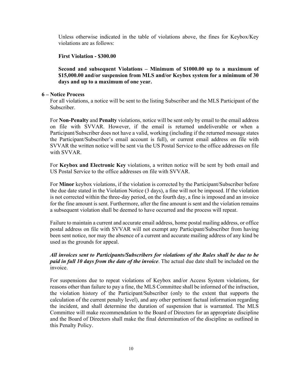Unless otherwise indicated in the table of violations above, the fines for Keybox/Key violations are as follows:

## **First Violation - \$300.00**

**Second and subsequent Violations – Minimum of \$1000.00 up to a maximum of \$15,000.00 and/or suspension from MLS and/or Keybox system for a minimum of 30 days and up to a maximum of one year.** 

## **6 – Notice Process**

For all violations, a notice will be sent to the listing Subscriber and the MLS Participant of the Subscriber.

For **Non-Penalty** and **Penalty** violations, notice will be sent only by email to the email address on file with SVVAR. However, if the email is returned undeliverable or when a Participant/Subscriber does not have a valid, working (including if the returned message states the Participant/Subscriber's email account is full), or current email address on file with SVVAR the written notice will be sent via the US Postal Service to the office addresses on file with SVVAR.

For **Keybox and Electronic Key** violations, a written notice will be sent by both email and US Postal Service to the office addresses on file with SVVAR.

For **Minor** keybox violations, if the violation is corrected by the Participant/Subscriber before the due date stated in the Violation Notice (3 days), a fine will not be imposed. If the violation is not corrected within the three-day period, on the fourth day, a fine is imposed and an invoice for the fine amount is sent. Furthermore, after the fine amount is sent and the violation remains a subsequent violation shall be deemed to have occurred and the process will repeat.

Failure to maintain a current and accurate email address, home postal mailing address, or office postal address on file with SVVAR will not exempt any Participant/Subscriber from having been sent notice, nor may the absence of a current and accurate mailing address of any kind be used as the grounds for appeal.

# *All invoices sent to Participants/Subscribers for violations of the Rules shall be due to be paid in full 10 days from the date of the invoice*. The actual due date shall be included on the invoice.

For suspensions due to repeat violations of Keybox and/or Access System violations, for reasons other than failure to pay a fine, the MLS Committee shall be informed of the infraction, the violation history of the Participant/Subscriber (only to the extent that supports the calculation of the current penalty level), and any other pertinent factual information regarding the incident, and shall determine the duration of suspension that is warranted. The MLS Committee will make recommendation to the Board of Directors for an appropriate discipline and the Board of Directors shall make the final determination of the discipline as outlined in this Penalty Policy.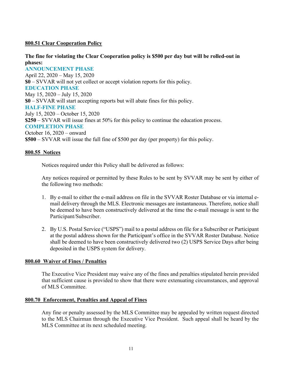## **800.51 Clear Cooperation Policy**

# **The fine for violating the Clear Cooperation policy is \$500 per day but will be rolled-out in phases:**

**ANNOUNCEMENT PHASE** April 22, 2020 – May 15, 2020 **\$0** – SVVAR will not yet collect or accept violation reports for this policy. **EDUCATION PHASE** May 15, 2020 – July 15, 2020 **\$0** – SVVAR will start accepting reports but will abate fines for this policy. **HALF-FINE PHASE** July 15, 2020 – October 15, 2020 **\$250** – SVVAR will issue fines at 50% for this policy to continue the education process. **COMPLETION PHASE** October 16, 2020 – onward **\$500** – SVVAR will issue the full fine of \$500 per day (per property) for this policy.

## **800.55 Notices**

Notices required under this Policy shall be delivered as follows:

Any notices required or permitted by these Rules to be sent by SVVAR may be sent by either of the following two methods:

- 1. By e-mail to either the e-mail address on file in the SVVAR Roster Database or via internal email delivery through the MLS. Electronic messages are instantaneous. Therefore, notice shall be deemed to have been constructively delivered at the time the e-mail message is sent to the Participant/Subscriber.
- 2. By U.S. Postal Service ("USPS") mail to a postal address on file for a Subscriber or Participant at the postal address shown for the Participant's office in the SVVAR Roster Database. Notice shall be deemed to have been constructively delivered two (2) USPS Service Days after being deposited in the USPS system for delivery.

## **800.60 Waiver of Fines / Penalties**

The Executive Vice President may waive any of the fines and penalties stipulated herein provided that sufficient cause is provided to show that there were extenuating circumstances, and approval of MLS Committee.

## **800.70 Enforcement, Penalties and Appeal of Fines**

Any fine or penalty assessed by the MLS Committee may be appealed by written request directed to the MLS Chairman through the Executive Vice President. Such appeal shall be heard by the MLS Committee at its next scheduled meeting.